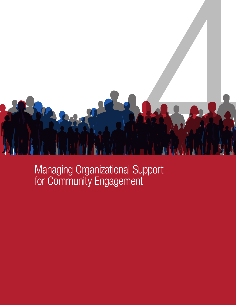

Managing Organizational Support for Community Engagement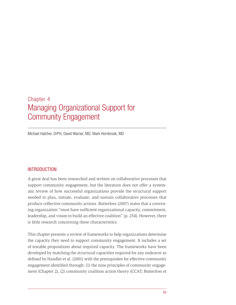# Chapter 4 Managing Organizational Support for Community Engagement

Michael Hatcher, DrPH, David Warner, MD, Mark Hornbrook, MD

# INTRODUCTION

A great deal has been researched and written on collaborative processes that support community engagement, but the literature does not offer a systematic review of how successful organizations provide the structural support needed to plan, initiate, evaluate, and sustain collaborative processes that produce collective community actions. Butterfoss (2007) states that a convening organization "must have sufficient organizational capacity, commitment, leadership, and vision to build an effective coalition" (p. 254). However, there is little research concerning these characteristics.

This chapter presents a review of frameworks to help organizations determine the capacity they need to support community engagement. It includes a set of testable propositions about required capacity. The frameworks have been developed by matching the structural capacities required for any endeavor as defined by Handler et al. (2001) with the prerequisites for effective community engagement identified through: (1) the nine principles of community engagement (Chapter 2), (2) community coalition action theory (CCAT; Butterfoss et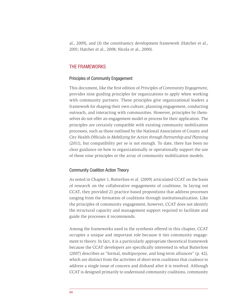al., 2009), and (3) the constituency development framework (Hatcher et al., 2001; Hatcher et al., 2008; Nicola et al., 2000).

## THE FRAMEWORKS

#### Principles of Community Engagement

This document, like the first edition of *Principles of Community Engagement,*  provides nine guiding principles for organizations to apply when working with community partners. These principles give organizational leaders a framework for shaping their own culture, planning engagement, conducting outreach, and interacting with communities. However, principles by themselves do not offer an engagement model or process for their application. The principles are certainly compatible with existing community mobilization processes, such as those outlined by the National Association of County and City Health Officials in *Mobilizing for Action through Partnership and Planning* (2011), but compatibility per se is not enough. To date, there has been no clear guidance on how to organizationally or operationally support the use of these nine principles or the array of community mobilization models.

#### Community Coalition Action Theory

As noted in Chapter 1, Butterfoss et al. (2009) articulated CCAT on the basis of research on the collaborative engagements of coalitions. In laying out CCAT, they provided 21 practice-based propositions that address processes ranging from the formation of coalitions through institutionalization. Like the principles of community engagement, however, CCAT does not identify the structural capacity and management support required to facilitate and guide the processes it recommends.

Among the frameworks used in the synthesis offered in this chapter, CCAT occupies a unique and important role because it ties community engagement to theory. In fact, it is a particularly appropriate theoretical framework because the CCAT developers are specifically interested in what Butterfoss (2007) describes as "formal, multipurpose, and long-term alliances" (p. 42), which are distinct from the activities of short-term coalitions that coalesce to address a single issue of concern and disband after it is resolved. Although CCAT is designed primarily to understand community coalitions, community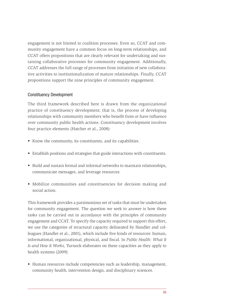engagement is not limited to coalition processes. Even so, CCAT and community engagement have a common focus on long-term relationships, and CCAT offers propositions that are clearly relevant for undertaking and sustaining collaborative processes for community engagement. Additionally, CCAT addresses the full range of processes from initiation of new collaborative activities to institutionalization of mature relationships. Finally, CCAT propositions support the nine principles of community engagement.

#### Constituency Development

The third framework described here is drawn from the organizational practice of constituency development; that is, the process of developing relationships with community members who benefit from or have influence over community public health actions. Constituency development involves four practice elements (Hatcher et al., 2008):

- Know the community, its constituents, and its capabilities.
- Establish positions and strategies that guide interactions with constituents.
- Build and sustain formal and informal networks to maintain relationships, communicate messages, and leverage resources.
- Mobilize communities and constituencies for decision making and social action.

This framework provides a parsimonious set of tasks that must be undertaken for community engagement. The question we seek to answer is how these tasks can be carried out in accordance with the principles of community engagement and CCAT. To specify the capacity required to support this effort, we use the categories of structural capacity delineated by Handler and colleagues (Handler et al., 2001), which include five kinds of resources: human, informational, organizational, physical, and fiscal. In *Public Health: What It Is and How It Works,* Turnock elaborates on these capacities as they apply to health systems (2009):

• Human resources include competencies such as leadership, management, community health, intervention design, and disciplinary sciences.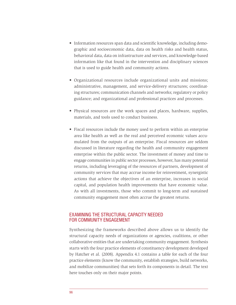- Information resources span data and scientific knowledge, including demographic and socioeconomic data, data on health risks and health status, behavioral data, data on infrastructure and services, and knowledge-based information like that found in the intervention and disciplinary sciences that is used to guide health and community actions.
- Organizational resources include organizational units and missions; administrative, management, and service-delivery structures; coordinating structures; communication channels and networks; regulatory or policy guidance; and organizational and professional practices and processes.
- Physical resources are the work spaces and places, hardware, supplies, materials, and tools used to conduct business.
- Fiscal resources include the money used to perform within an enterprise area like health as well as the real and perceived economic values accumulated from the outputs of an enterprise. Fiscal resources are seldom discussed in literature regarding the health and community engagement enterprise within the public sector. The investment of money and time to engage communities in public sector processes, however, has many potential returns, including leveraging of the resources of partners, development of community services that may accrue income for reinvestment, synergistic actions that achieve the objectives of an enterprise, increases in social capital, and population health improvements that have economic value. As with all investments, those who commit to long-term and sustained community engagement most often accrue the greatest returns.

## EXAMINING THE STRUCTURAL CAPACITY NEEDED FOR COMMUNITY ENGAGEMENT

Synthesizing the frameworks described above allows us to identify the structural capacity needs of organizations or agencies, coalitions, or other collaborative entities that are undertaking community engagement. Synthesis starts with the four practice elements of constituency development developed by Hatcher et al. (2008). Appendix 4.1 contains a table for each of the four practice elements (know the community, establish strategies, build networks, and mobilize communities) that sets forth its components in detail. The text here touches only on their major points.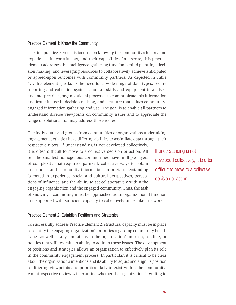#### Practice Element 1: Know the Community

The first practice element is focused on knowing the community's history and experience, its constituents, and their capabilities. In a sense, this practice element addresses the intelligence-gathering function behind planning, decision making, and leveraging resources to collaboratively achieve anticipated or agreed-upon outcomes with community partners. As depicted in Table 4.1, this element speaks to the need for a wide range of data types, secure reporting and collection systems, human skills and equipment to analyze and interpret data, organizational processes to communicate this information and foster its use in decision making, and a culture that values communityengaged information gathering and use. The goal is to enable all partners to understand diverse viewpoints on community issues and to appreciate the range of solutions that may address those issues.

The individuals and groups from communities or organizations undertaking engagement activities have differing abilities to assimilate data through their

respective filters. If understanding is not developed collectively, it is often difficult to move to a collective decision or action. All but the smallest homogenous communities have multiple layers of complexity that require organized, collective ways to obtain and understand community information. In brief, understanding is rooted in experience, social and cultural perspectives, perceptions of influence, and the ability to act collaboratively within the engaging organization and the engaged community. Thus, the task of knowing a community must be approached as an organizational function and supported with sufficient capacity to collectively undertake this work.

#### Practice Element 2: Establish Positions and Strategies

To successfully address Practice Element 2, structural capacity must be in place to identify the engaging organization's priorities regarding community health issues as well as any limitations in the organization's mission, funding, or politics that will restrain its ability to address those issues. The development of positions and strategies allows an organization to effectively plan its role in the community engagement process. In particular, it is critical to be clear about the organization's intentions and its ability to adjust and align its position to differing viewpoints and priorities likely to exist within the community. An introspective review will examine whether the organization is willing to

If understanding is not developed collectively, it is often difficult to move to a collective decision or action.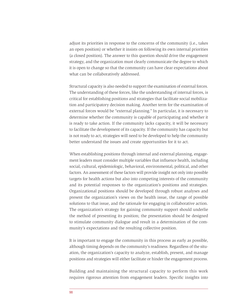adjust its priorities in response to the concerns of the community (i.e., takes an open position) or whether it insists on following its own internal priorities (a closed position). The answer to this question should drive the engagement strategy, and the organization must clearly communicate the degree to which it is open to change so that the community can have clear expectations about what can be collaboratively addressed.

Structural capacity is also needed to support the examination of external forces. The understanding of these forces, like the understanding of internal forces, is critical for establishing positions and strategies that facilitate social mobilization and participatory decision making. Another term for the examination of external forces would be "external planning." In particular, it is necessary to determine whether the community is capable of participating and whether it is ready to take action. If the community lacks capacity, it will be necessary to facilitate the development of its capacity. If the community has capacity but is not ready to act, strategies will need to be developed to help the community better understand the issues and create opportunities for it to act.

When establishing positions through internal and external planning, engagement leaders must consider multiple variables that influence health, including social, cultural, epidemiologic, behavioral, environmental, political, and other factors. An assessment of these factors will provide insight not only into possible targets for health actions but also into competing interests of the community and its potential responses to the organization's positions and strategies. Organizational positions should be developed through robust analyses and present the organization's views on the health issue, the range of possible solutions to that issue, and the rationale for engaging in collaborative action. The organization's strategy for gaining community support should underlie the method of presenting its position; the presentation should be designed to stimulate community dialogue and result in a determination of the community's expectations and the resulting collective position.

It is important to engage the community in this process as early as possible, although timing depends on the community's readiness. Regardless of the situation, the organization's capacity to analyze, establish, present, and manage positions and strategies will either facilitate or hinder the engagement process.

Building and maintaining the structural capacity to perform this work requires rigorous attention from engagement leaders. Specific insights into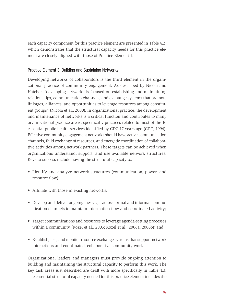each capacity component for this practice element are presented in Table 4.2, which demonstrates that the structural capacity needs for this practice element are closely aligned with those of Practice Element 1.

### Practice Element 3: Building and Sustaining Networks

Developing networks of collaborators is the third element in the organizational practice of community engagement. As described by Nicola and Hatcher, "developing networks is focused on establishing and maintaining relationships, communication channels, and exchange systems that promote linkages, alliances, and opportunities to leverage resources among constituent groups" (Nicola et al., 2000). In organizational practice, the development and maintenance of networks is a critical function and contributes to many organizational practice areas, specifically practices related to most of the 10 essential public health services identified by CDC 17 years ago (CDC, 1994). Effective community engagement networks should have active communication channels, fluid exchange of resources, and energetic coordination of collaborative activities among network partners. These targets can be achieved when organizations understand, support, and use available network structures. Keys to success include having the structural capacity to:

- Identify and analyze network structures (communication, power, and resource flow);
- Affiliate with those in existing networks;
- Develop and deliver ongoing messages across formal and informal communication channels to maintain information flow and coordinated activity;
- Target communications and resources to leverage agenda-setting processes within a community (Kozel et al., 2003; Kozel et al., 2006a, 2006b); and
- Establish, use, and monitor resource exchange systems that support network interactions and coordinated, collaborative community work.

Organizational leaders and managers must provide ongoing attention to building and maintaining the structural capacity to perform this work. The key task areas just described are dealt with more specifically in Table 4.3. The essential structural capacity needed for this practice element includes the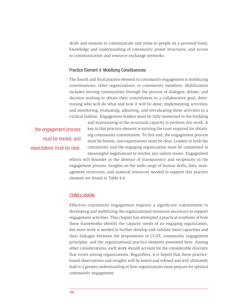skills and systems to communicate and relate to people on a personal basis, knowledge and understanding of community power structures, and access to communication and resource exchange networks.

#### Practice Element 4: Mobilizing Constituencies

The fourth and final practice element in community engagement is mobilizing constituencies, other organizations, or community members. Mobilization includes moving communities through the process of dialogue, debate, and decision making to obtain their commitment to a collaborative goal; determining who will do what and how it will be done; implementing activities; and monitoring, evaluating, adjusting, and reevaluating these activities in a cyclical fashion. Engagement leaders must be fully immersed in the building

…the engagement process must be honest, and expectations must be clear. and maintaining of the structural capacity to perform this work. A key to this practice element is earning the trust required for obtaining community commitment. To this end, the engagement process must be honest, and expectations must be clear. Leaders in both the community and the engaging organization must be committed to

meaningful negotiations to resolve any salient issues. Engagement efforts will flounder in the absence of transparency and reciprocity in the engagement process. Insights on the wide range of human skills, data, management structures, and material resources needed to support this practice element are found in Table 4.4.

#### **CONCLUSION**

Effective community engagement requires a significant commitment to developing and mobilizing the organizational resources necessary to support engagement activities. This chapter has attempted a practical synthesis of how these frameworks identify the capacity needs of an engaging organization, but more work is needed to further develop and validate these capacities and their linkages between the propositions of CCAT, community engagement principles, and the organizational practice elements presented here. Among other considerations, such work should account for the considerable diversity that exists among organizations. Regardless, it is hoped that these practicebased observations and insights will be tested and refined and will ultimately lead to a greater understanding of how organizations must prepare for optimal community engagement.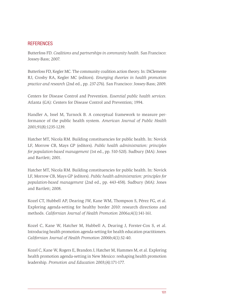## **REFERENCES**

Butterfoss FD. *Coalitions and partnerships in community health.* San Francisco: Jossey-Bass; 2007.

Butterfoss FD, Kegler MC. The community coalition action theory. In: DiClemente RJ, Crosby RA, Kegler MC (editors). *Emerging theories in health promotion practice and research* (2nd ed., pp. 237-276). San Francisco: Jossey-Bass; 2009.

Centers for Disease Control and Prevention. *Essential public health services*. Atlanta (GA): Centers for Disease Control and Prevention; 1994.

Handler A, Issel M, Turnock B. A conceptual framework to measure performance of the public health system. *American Journal of Public Health*  2001;91(8):1235-1239.

Hatcher MT, Nicola RM. Building constituencies for public health. In: Novick LF, Morrow CB, Mays GP (editors). *Public health administration: principles for population-based management* (1st ed., pp. 510-520). Sudbury (MA): Jones and Bartlett; 2001.

Hatcher MT, Nicola RM. Building constituencies for public health. In: Novick LF, Morrow CB, Mays GP (editors). *Public health administration: principles for population-based management* (2nd ed., pp. 443-458). Sudbury (MA): Jones and Bartlett; 2008.

Kozel CT, Hubbell AP, Dearing JW, Kane WM, Thompson S, Pérez FG, et al. Exploring agenda-setting for healthy border 2010: research directions and methods. *Californian Journal of Health Promotion* 2006a;4(1):141-161.

Kozel C, Kane W, Hatcher M, Hubbell A, Dearing J, Forster-Cox S, et al. Introducing health promotion agenda-setting for health education practitioners. *Californian Journal of Health Promotion* 2006b;4(1):32-40.

Kozel C, Kane W, Rogers E, Brandon J, Hatcher M, Hammes M, et al. Exploring health promotion agenda-setting in New Mexico: reshaping health promotion leadership. *Promotion and Education* 2003;(4):171-177.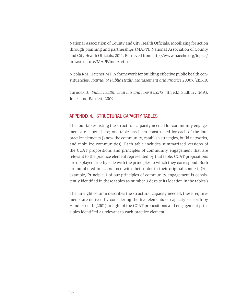National Association of County and City Health Officials. Mobilizing for action through planning and partnerships (MAPP). National Association of County and City Health Officials; 2011. Retrieved from [http://www.naccho.org/topics/](http://www.naccho.org/topics/infrastructure/MAPP/index.cfm) [infrastructure/MAPP/index.cfm.](http://www.naccho.org/topics/infrastructure/MAPP/index.cfm)

Nicola RM, Hatcher MT. A framework for building effective public health constituencies. *Journal of Public Health Management and Practice* 2000;6(2):1-10.

Turnock BJ. Public health: what it is and how it works (4th ed.). Sudbury (MA): Jones and Bartlett; 2009.

# APPENDIX 4.1 STRUCTURAL CAPACITY TABLES

The four tables listing the structural capacity needed for community engagement are shown here; one table has been constructed for each of the four practice elements (know the community, establish strategies, build networks, and mobilize communities). Each table includes summarized versions of the CCAT propositions and principles of community engagement that are relevant to the practice element represented by that table. CCAT propositions are displayed side-by-side with the principles to which they correspond. Both are numbered in accordance with their order in their original context. (For example, Principle 3 of our principles of community engagement is consistently identified in these tables as number 3 despite its location in the tables.)

The far-right column describes the structural capacity needed; these requirements are derived by considering the five elements of capacity set forth by Handler et al. (2001) in light of the CCAT propositions and engagement principles identified as relevant to each practice element.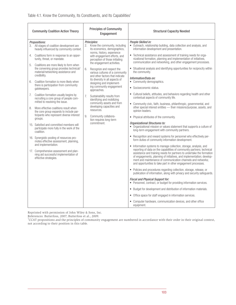r

| <b>Community Coalition Action Theory</b>                                                                                                                                                                                                                                                                                                                                                                                                                                                                                                                                                                                                                                                                                                                                                                                                                                                                                                                                                                                                                        | <b>Principles of Community</b><br>Engagement                                                                                                                                                                                                                                                                                                                                                                                                                                                                                                                                                                                                     | <b>Structural Capacity Needed</b>                                                                                                                                                                                                                                                                                                                                                                                                                                                                                                                                                                                                                                                                                                                                                                                                                                                                                                                                                                                                                                                                                                                                                                                                                                                                                                                                                                                                                                                                                                                                                                                                                                                                                                                                                                                                                                                                                                                                                                                                                                                              |
|-----------------------------------------------------------------------------------------------------------------------------------------------------------------------------------------------------------------------------------------------------------------------------------------------------------------------------------------------------------------------------------------------------------------------------------------------------------------------------------------------------------------------------------------------------------------------------------------------------------------------------------------------------------------------------------------------------------------------------------------------------------------------------------------------------------------------------------------------------------------------------------------------------------------------------------------------------------------------------------------------------------------------------------------------------------------|--------------------------------------------------------------------------------------------------------------------------------------------------------------------------------------------------------------------------------------------------------------------------------------------------------------------------------------------------------------------------------------------------------------------------------------------------------------------------------------------------------------------------------------------------------------------------------------------------------------------------------------------------|------------------------------------------------------------------------------------------------------------------------------------------------------------------------------------------------------------------------------------------------------------------------------------------------------------------------------------------------------------------------------------------------------------------------------------------------------------------------------------------------------------------------------------------------------------------------------------------------------------------------------------------------------------------------------------------------------------------------------------------------------------------------------------------------------------------------------------------------------------------------------------------------------------------------------------------------------------------------------------------------------------------------------------------------------------------------------------------------------------------------------------------------------------------------------------------------------------------------------------------------------------------------------------------------------------------------------------------------------------------------------------------------------------------------------------------------------------------------------------------------------------------------------------------------------------------------------------------------------------------------------------------------------------------------------------------------------------------------------------------------------------------------------------------------------------------------------------------------------------------------------------------------------------------------------------------------------------------------------------------------------------------------------------------------------------------------------------------------|
| Propositions:<br>3. All stages of coalition development are<br>heavily influenced by community context.<br>Coalitions form in response to an oppor-<br>4.<br>tunity, threat, or mandate.<br>5.<br>Coalitions are more likely to form when<br>the convening group provides technical/<br>material/networking assistance and<br>credibility.<br>Coalition formation is more likely when<br>6.<br>there is participation from community<br>gatekeepers.<br>Coalition formation usually begins by<br>7.<br>recruiting a core group of people com-<br>mitted to resolving the issue.<br>More effective coalitions result when<br>8.<br>the core group expands to include par-<br>ticipants who represent diverse interest<br>groups.<br>15. Satisfied and committed members will<br>participate more fully in the work of the<br>coalition.<br>16. Synergistic pooling of resources pro-<br>motes effective assessment, planning,<br>and implementation.<br>17. Comprehensive assessment and plan-<br>ning aid successful implementation of<br>effective strategies. | Principles:<br>Know the community, including<br>its economics, demographics,<br>norms, history, experience<br>with engagement efforts, and<br>perception of those initiating<br>the engagement activities.<br>Recognize and respect the<br>6.<br>various cultures of a community<br>and other factors that indicate<br>its diversity in all aspects of<br>designing and implement-<br>ing community engagement<br>approaches.<br>Sustainability results from<br>7.<br>identifying and mobilizing<br>community assets and from<br>developing capacities and<br>resources.<br>9.<br>Community collabora-<br>tion requires long-term<br>commitment. | People Skilled in:<br>• Outreach, relationship building, data collection and analysis, and<br>information development and presentation.<br>• Technical assistance and assessment of training needs for orga-<br>nizational formation, planning and implementation of initiatives,<br>communication and networking, and other engagement processes.<br>• Situational analysis and identifying opportunities for reciprocity within<br>the community.<br>Information/Data on:<br>• Community demographics.<br>Socioeconomic status.<br>Cultural beliefs, attitudes, and behaviors regarding health and other<br>$\bullet$<br>contextual aspects of community life.<br>• Community civic, faith, business, philanthropic, governmental, and<br>other special interest entities - their missions/purpose, assets, and<br>opinion leaders.<br>• Physical attributes of the community.<br>Organizational Structures to:<br>• Organizational mission or values statement that supports a culture of<br>long-term engagement with community partners.<br>• Recognition and reward systems for personnel who effectively per-<br>form duties of community information development.<br>• Information systems to manage collection, storage, analysis, and<br>reporting of data on the capabilities of community partners; technical<br>assistance and training needs for partners to undertake the formation<br>of engagements, planning of initiatives, and implementation; develop-<br>ment and maintenance of communication channels and networks;<br>and opportunities to take part in other engagement processes.<br>Policies and procedures regarding collection, storage, release, or<br>publication of information, along with privacy and security safeguards.<br><b>Fiscal and Physical Support for:</b><br>• Personnel, contract, or budget for providing information services.<br>Budget for development and distribution of information materials.<br>• Office space for staff engaged in information services.<br>Computer hardware, communication devices, and other office<br>equipment. |

Reprinted with permission of John Wiley & Sons, Inc.

References: Butterfoss, 2007; Butterfoss et al., 2009.

<sup>1</sup>CCAT propositions and the principles of community engagement are numbered in accordance with their order in their original context, not according to their position in this table.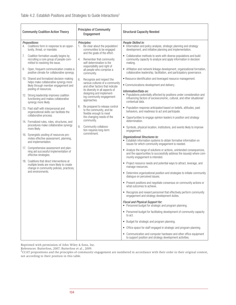| <b>Principles of Community</b><br><b>Community Coalition Action Theory</b><br>Engagement                                                                                                                                                                                                                                                                                                                                                                                                                                                                                                                                                                                                                                                                                                                                                                                                                                                                                                                                                                                                                                                                                                                                                                                                                                                                                                                                                                                                                                                                                                                                                                                                                                                                                                                                                                                                                   | <b>Structural Capacity Needed</b>                                                                                                                                                                                                                                                                                                                                                                                                                                                                                                                                                                                                                                                                                                                                                                                                                                                                                                                                                                                                                                                                                                                                                                                                                                                                                                                                                                                                                                                                                                                                                                                                                                                                                                                                                                                                                                                                                                                                                                                                                                                                                |
|------------------------------------------------------------------------------------------------------------------------------------------------------------------------------------------------------------------------------------------------------------------------------------------------------------------------------------------------------------------------------------------------------------------------------------------------------------------------------------------------------------------------------------------------------------------------------------------------------------------------------------------------------------------------------------------------------------------------------------------------------------------------------------------------------------------------------------------------------------------------------------------------------------------------------------------------------------------------------------------------------------------------------------------------------------------------------------------------------------------------------------------------------------------------------------------------------------------------------------------------------------------------------------------------------------------------------------------------------------------------------------------------------------------------------------------------------------------------------------------------------------------------------------------------------------------------------------------------------------------------------------------------------------------------------------------------------------------------------------------------------------------------------------------------------------------------------------------------------------------------------------------------------------|------------------------------------------------------------------------------------------------------------------------------------------------------------------------------------------------------------------------------------------------------------------------------------------------------------------------------------------------------------------------------------------------------------------------------------------------------------------------------------------------------------------------------------------------------------------------------------------------------------------------------------------------------------------------------------------------------------------------------------------------------------------------------------------------------------------------------------------------------------------------------------------------------------------------------------------------------------------------------------------------------------------------------------------------------------------------------------------------------------------------------------------------------------------------------------------------------------------------------------------------------------------------------------------------------------------------------------------------------------------------------------------------------------------------------------------------------------------------------------------------------------------------------------------------------------------------------------------------------------------------------------------------------------------------------------------------------------------------------------------------------------------------------------------------------------------------------------------------------------------------------------------------------------------------------------------------------------------------------------------------------------------------------------------------------------------------------------------------------------------|
| <b>Propositions:</b><br>Principles:<br>Coalitions form in response to an oppor-<br>Be clear about the population/<br>1.<br>tunity, threat, or mandate.<br>communities to be engaged<br>and the goals of the effort.<br>7.<br>Coalition formation usually begins by<br>recruiting a core group of people com-<br>Remember that community<br>4.<br>mitted to resolving the issue.<br>self-determination is the<br>responsibility and right of<br>Open, frequent communication creates a<br>9.<br>all people who comprise a<br>positive climate for collaborative synergy.<br>community.<br>10. Shared and formalized decision-making<br>Recognize and respect the<br>6.<br>helps make collaborative synergy more<br>various cultures of a community<br>likely through member engagement and<br>and other factors that indicate<br>pooling of resources.<br>its diversity in all aspects of<br>designing and implement-<br>12. Strong leadership improves coalition<br>ing community engagement<br>functioning and makes collaborative<br>approaches.<br>synergy more likely.<br>Be prepared to release control<br>8.<br>13. Paid staff with interpersonal and<br>to the community, and be<br>organizational skills can facilitate the<br>flexible enough to meet<br>collaborative process.<br>the changing needs of the<br>community.<br>14. Formalized rules, roles, structures, and<br>procedures make collaborative synergy<br>9.<br>Community collabora-<br>more likely.<br>tion requires long-term<br>commitment.<br>16. Synergistic pooling of resources pro-<br>motes effective assessment, planning,<br>and implementation.<br>17. Comprehensive assessment and plan-<br>ning aid successful implementation of<br>effective strategies.<br>18. Coalitions that direct interventions at<br>multiple levels are more likely to create<br>change in community policies, practices,<br>and environments. | People Skilled in:<br>• Information and policy analysis, strategic planning and strategy<br>development, and initiative planning and implementation.<br>• Collaborative methods to work with diverse populations and build<br>community capacity to analyze and apply information in decision<br>making.<br>• Affiliation and network linkage development, organizational formation,<br>collaborative leadership, facilitation, and participatory governance.<br>• Resource identification and leveraged resource management.<br>• Communications development and delivery.<br>Information/Data on:<br>• Populations potentially affected by positions under consideration and<br>influencing factors of socioeconomic, cultural, and other situational/<br>contextual data.<br>• Population response anticipated based on beliefs, attitudes, past<br>behaviors, and readiness to act and participate.<br>• Opportunities to engage opinion leaders in position and strategy<br>determination.<br>• Symbols, physical location, institutions, and events likely to improve<br>engagement.<br>Organizational Structures to:<br>• Establish information systems to obtain formative information on<br>issues for which community engagement is needed.<br>• Analyze the range of solutions or actions, unintended consequences,<br>and the opportunities to successfully address the issue(s) where com-<br>munity engagement is intended.<br>• Project resource needs and potential ways to attract, leverage, and<br>manage resources.<br>• Determine organizational position and strategies to initiate community<br>dialogue on perceived issues.<br>• Present positions and negotiate consensus on community actions or<br>what outcomes to achieve.<br>• Recognize and reward personnel that effectively perform community<br>engagement and strategy development duties.<br>Fiscal and Physical Support for:<br>• Personnel budget for strategic and program planning.<br>• Personnel budget for facilitating development of community capacity<br>to act.<br>• Budget for strategic and program planning. |

Reprinted with permission of John Wiley & Sons, Inc.

References: Butterfoss, 2007; Butterfoss et al., 2009.<br><sup>2</sup>CCAT propositions and the principles of community engagement are numbered in accordance with their order in their original context, not according to their position in this table.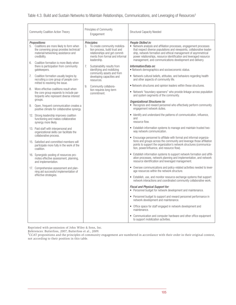| <b>Community Coalition Action Theory</b>                                                                                                                            | Principles of Community<br>Engagement                                                                                                                              | <b>Structural Capacity Needed</b>                                                                                                                                                                                                                                                                                                                                       |
|---------------------------------------------------------------------------------------------------------------------------------------------------------------------|--------------------------------------------------------------------------------------------------------------------------------------------------------------------|-------------------------------------------------------------------------------------------------------------------------------------------------------------------------------------------------------------------------------------------------------------------------------------------------------------------------------------------------------------------------|
| <b>Propositions:</b><br>5. Coalitions are more likely to form when<br>the convening group provides technical/<br>material/networking assistance and<br>credibility. | Principles:<br>3. To create community mobiliza-<br>tion process, build trust and<br>relationships and get commit-<br>ments from formal and informal<br>leadership. | People Skilled in:<br>• Network analysis and affiliation processes, engagement processes<br>that respect diverse populations and viewpoints, collaborative leader-<br>ship, network formation and ethical management of asymmetrical<br>power relationships, resource identification and leveraged resource<br>management, and communications development and delivery. |
| Coalition formation is more likely when<br>6.<br>there is participation from community<br>gatekeepers.                                                              | 7.<br>Sustainability results from<br>identifying and mobilizing                                                                                                    | Information/Data on:<br>• Network demographics and socioeconomic status.                                                                                                                                                                                                                                                                                                |
| Coalition formation usually begins by<br>7.<br>recruiting a core group of people com-<br>mitted to resolving the issue.                                             | community assets and from<br>developing capacities and<br>resources.<br>Community collabora-<br>9.<br>tion requires long-term<br>commitment.                       | • Network cultural beliefs, attitudes, and behaviors regarding health<br>and other aspects of community life.                                                                                                                                                                                                                                                           |
| More effective coalitions result when<br>8.<br>the core group expands to include par-<br>ticipants who represent diverse interest                                   |                                                                                                                                                                    | • Network structures and opinion leaders within these structures.<br>• Network "boundary-spanners" who provide linkage across population<br>and system segments of the community.                                                                                                                                                                                       |
| groups.<br>Open, frequent communication creates a<br>9.<br>positive climate for collaborative synergy.                                                              |                                                                                                                                                                    | Organizational Structures to:<br>• Recognize and reward personnel who effectively perform community<br>engagement network duties.                                                                                                                                                                                                                                       |
| 12. Strong leadership improves coalition<br>functioning and makes collaborative<br>synergy more likely.                                                             |                                                                                                                                                                    | • Identify and understand the patterns of communication, influence,<br>and<br>resource flow.                                                                                                                                                                                                                                                                            |
| 13. Paid staff with interpersonal and<br>organizational skills can facilitate the<br>collaborative process.                                                         |                                                                                                                                                                    | • Establish information systems to manage and maintain trusted two-<br>way network communication.                                                                                                                                                                                                                                                                       |
| 15. Satisfied and committed members will<br>participate more fully in the work of the<br>coalition.                                                                 |                                                                                                                                                                    | • Encourage personnel to affiliate with formal and informal organiza-<br>tions and groups across the community and leverage those affiliation<br>points to support the organization's network structures (communica-<br>tion, power/influence, and resource flow).                                                                                                      |
| 16. Synergistic pooling of resources pro-<br>motes effective assessment, planning,<br>and implementation.                                                           |                                                                                                                                                                    | • Establish information systems to support network formation and affili-<br>ation processes, network planning and implementation, and network<br>resource identification and leveraged management.                                                                                                                                                                      |
| 17. Comprehensive assessment and plan-<br>ning aid successful implementation of                                                                                     |                                                                                                                                                                    | • Oversee communications and policy-related activities needed to lever-<br>age resources within the network structure.                                                                                                                                                                                                                                                  |
| effective strategies.                                                                                                                                               |                                                                                                                                                                    | • Establish, use, and monitor resource exchange systems that support<br>network interactions and coordinated community collaborative work.                                                                                                                                                                                                                              |
|                                                                                                                                                                     |                                                                                                                                                                    | Fiscal and Physical Support for:<br>• Personnel budget for network development and maintenance.                                                                                                                                                                                                                                                                         |
|                                                                                                                                                                     |                                                                                                                                                                    | • Personnel budget to support and reward personnel performance in<br>network development and maintenance.                                                                                                                                                                                                                                                               |
|                                                                                                                                                                     |                                                                                                                                                                    | • Office space for staff engaged in network development and<br>maintenance.                                                                                                                                                                                                                                                                                             |
|                                                                                                                                                                     |                                                                                                                                                                    | • Communication and computer hardware and other office equipment<br>to support mobilization activities.                                                                                                                                                                                                                                                                 |

Reprinted with permission of John Wiley & Sons, Inc.

References: Butterfoss, 2007; Butterfoss et al., 2009.<br><sup>3</sup>CCAT propositions and the principles of community engagement are numbered in accordance with their order in their original context, not according to their position in this table.